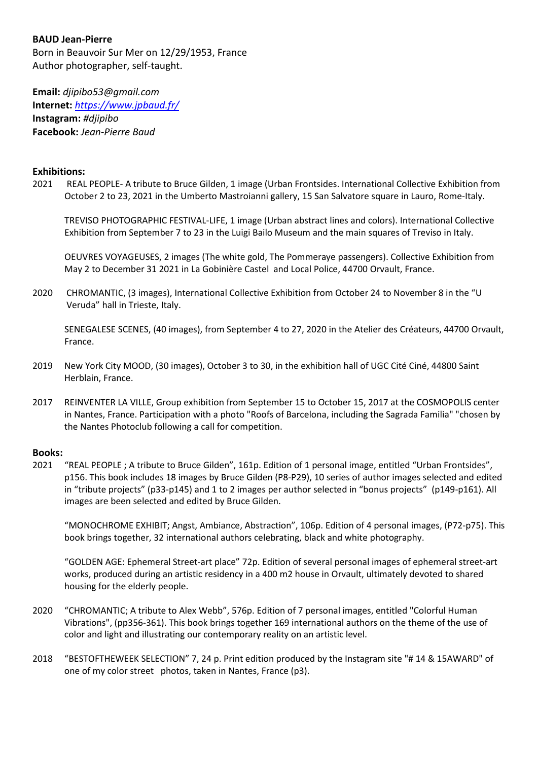# **BAUD Jean-Pierre**

Born in Beauvoir Sur Mer on 12/29/1953, France Author photographer, self-taught.

**Email:** *djipibo53@gmail.com* **Internet:** *<https://www.jpbaud.fr/>* **Instagram:** *#djipibo* **Facebook:** *Jean-Pierre Baud*

# **Exhibitions:**

2021 REAL PEOPLE- A tribute to Bruce Gilden, 1 image (Urban Frontsides. International Collective Exhibition from October 2 to 23, 2021 in the Umberto Mastroianni gallery, 15 San Salvatore square in Lauro, Rome-Italy.

TREVISO PHOTOGRAPHIC FESTIVAL-LIFE, 1 image (Urban abstract lines and colors). International Collective Exhibition from September 7 to 23 in the Luigi Bailo Museum and the main squares of Treviso in Italy.

OEUVRES VOYAGEUSES, 2 images (The white gold, The Pommeraye passengers). Collective Exhibition from May 2 to December 31 2021 in La Gobinière Castel and Local Police, 44700 Orvault, France.

2020 CHROMANTIC, (3 images), International Collective Exhibition from October 24 to November 8 in the "U Veruda" hall in Trieste, Italy.

SENEGALESE SCENES, (40 images), from September 4 to 27, 2020 in the Atelier des Créateurs, 44700 Orvault, France.

- 2019 New York City MOOD, (30 images), October 3 to 30, in the exhibition hall of UGC Cité Ciné, 44800 Saint Herblain, France.
- 2017 REINVENTER LA VILLE, Group exhibition from September 15 to October 15, 2017 at the COSMOPOLIS center in Nantes, France. Participation with a photo "Roofs of Barcelona, including the Sagrada Familia" "chosen by the Nantes Photoclub following a call for competition.

#### **Books:**

2021 "REAL PEOPLE ; A tribute to Bruce Gilden", 161p. Edition of 1 personal image, entitled "Urban Frontsides", p156. This book includes 18 images by Bruce Gilden (P8-P29), 10 series of author images selected and edited in "tribute projects" (p33-p145) and 1 to 2 images per author selected in "bonus projects" (p149-p161). All images are been selected and edited by Bruce Gilden.

"MONOCHROME EXHIBIT; Angst, Ambiance, Abstraction", 106p. Edition of 4 personal images, (P72-p75). This book brings together, 32 international authors celebrating, black and white photography.

"GOLDEN AGE: Ephemeral Street-art place" 72p. Edition of several personal images of ephemeral street-art works, produced during an artistic residency in a 400 m2 house in Orvault, ultimately devoted to shared housing for the elderly people.

- 2020 "CHROMANTIC; A tribute to Alex Webb", 576p. Edition of 7 personal images, entitled "Colorful Human Vibrations", (pp356-361). This book brings together 169 international authors on the theme of the use of color and light and illustrating our contemporary reality on an artistic level.
- 2018 "BESTOFTHEWEEK SELECTION" 7, 24 p. Print edition produced by the Instagram site "# 14 & 15AWARD" of one of my color street photos, taken in Nantes, France (p3).